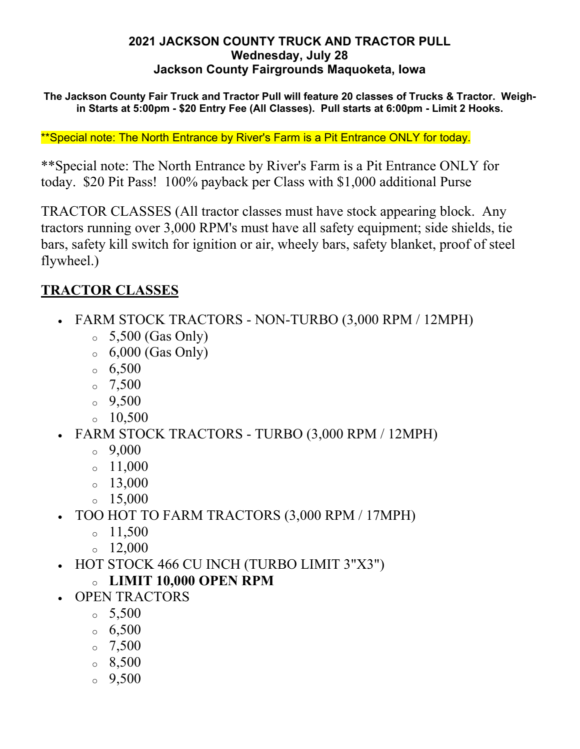#### **2021 JACKSON COUNTY TRUCK AND TRACTOR PULL Wednesday, July 28 Jackson County Fairgrounds Maquoketa, Iowa**

**The Jackson County Fair Truck and Tractor Pull will feature 20 classes of Trucks & Tractor. Weighin Starts at 5:00pm - \$20 Entry Fee (All Classes). Pull starts at 6:00pm - Limit 2 Hooks.**

\*\*Special note: The North Entrance by River's Farm is a Pit Entrance ONLY for today.

\*\*Special note: The North Entrance by River's Farm is a Pit Entrance ONLY for today. \$20 Pit Pass! 100% payback per Class with \$1,000 additional Purse

TRACTOR CLASSES (All tractor classes must have stock appearing block. Any tractors running over 3,000 RPM's must have all safety equipment; side shields, tie bars, safety kill switch for ignition or air, wheely bars, safety blanket, proof of steel flywheel.)

### **TRACTOR CLASSES**

- FARM STOCK TRACTORS NON-TURBO (3,000 RPM / 12MPH)
	- $\circ$  5,500 (Gas Only)
	- $\circ$  6,000 (Gas Only)
	- $6,500$
	- $0^{\circ}$  7,500
	- $0.500$
	- $\degree$  10.500
- FARM STOCK TRACTORS TURBO (3,000 RPM / 12MPH)
	- $\degree$  9,000
	- $\circ$  11,000
	- $\circ$  13,000
	- $\degree$  15,000
- TOO HOT TO FARM TRACTORS (3,000 RPM / 17MPH)
	- $0 11,500$
	- $_0$  12,000
- HOT STOCK 466 CU INCH (TURBO LIMIT 3"X3")
	- <sup>o</sup> **LIMIT 10,000 OPEN RPM**
- OPEN TRACTORS
	- $\circ$  5,500
	- $6,500$
	- $0^{\circ}$  7,500
	- $\, \circ \, 8,500$
	- $0, 9,500$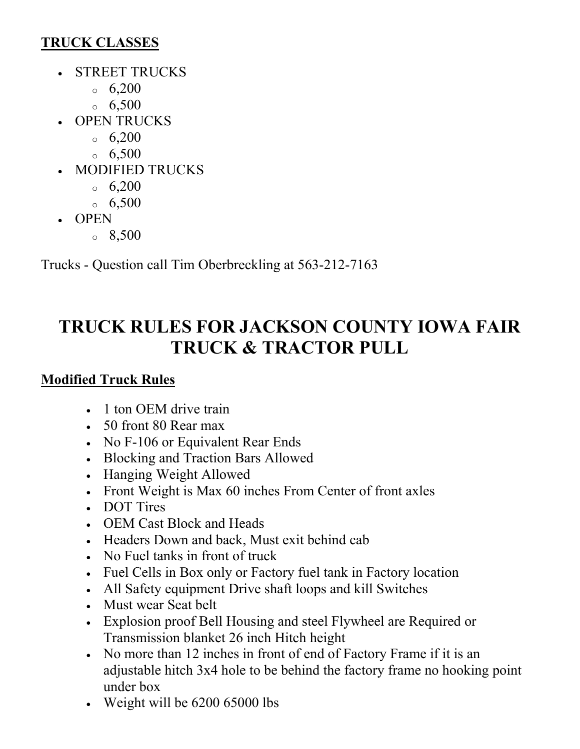## **TRUCK CLASSES**

- STREET TRUCKS
	- $6,200$
	- $6,500$
- OPEN TRUCKS
	- $6,200$
	- $6,500$
- MODIFIED TRUCKS
	- $6,200$
	- $6,500$
- OPEN
	- $\degree$  8,500

Trucks - Question call Tim Oberbreckling at 563-212-7163

# **TRUCK RULES FOR JACKSON COUNTY IOWA FAIR TRUCK & TRACTOR PULL**

# **Modified Truck Rules**

- 1 ton OEM drive train
- 50 front 80 Rear max
- No F-106 or Equivalent Rear Ends
- Blocking and Traction Bars Allowed
- Hanging Weight Allowed
- Front Weight is Max 60 inches From Center of front axles
- DOT Tires
- OEM Cast Block and Heads
- Headers Down and back, Must exit behind cab
- No Fuel tanks in front of truck
- Fuel Cells in Box only or Factory fuel tank in Factory location
- All Safety equipment Drive shaft loops and kill Switches
- Must wear Seat belt
- Explosion proof Bell Housing and steel Flywheel are Required or Transmission blanket 26 inch Hitch height
- No more than 12 inches in front of end of Factory Frame if it is an adjustable hitch 3x4 hole to be behind the factory frame no hooking point under box
- Weight will be 6200 65000 lbs